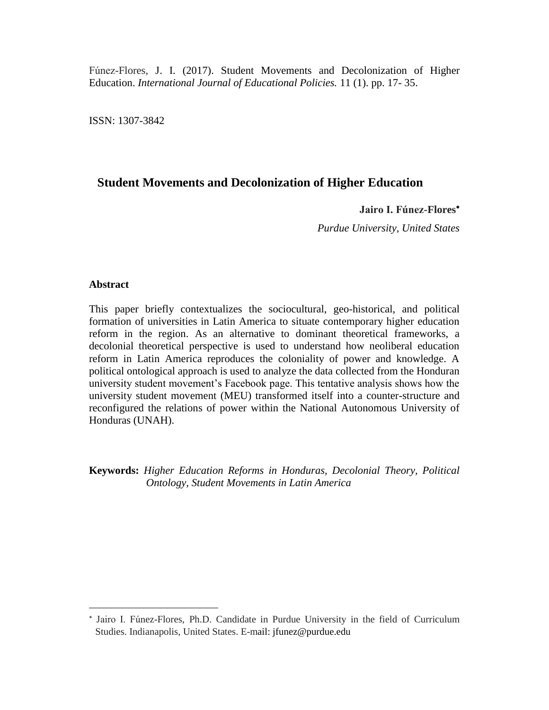Fúnez-Flores, J. I. (2017). Student Movements and Decolonization of Higher Education. *International Journal of Educational Policies.* 11 (1). pp. 17- 35.

ISSN: 1307-3842

# **Student Movements and Decolonization of Higher Education**

**Jairo I. Fúnez-Flores**

*Purdue University, United States*

#### **Abstract**

 $\overline{a}$ 

This paper briefly contextualizes the sociocultural, geo-historical, and political formation of universities in Latin America to situate contemporary higher education reform in the region. As an alternative to dominant theoretical frameworks, a decolonial theoretical perspective is used to understand how neoliberal education reform in Latin America reproduces the coloniality of power and knowledge. A political ontological approach is used to analyze the data collected from the Honduran university student movement's Facebook page. This tentative analysis shows how the university student movement (MEU) transformed itself into a counter-structure and reconfigured the relations of power within the National Autonomous University of Honduras (UNAH).

**Keywords:** *Higher Education Reforms in Honduras, Decolonial Theory, Political Ontology, Student Movements in Latin America*

Jairo I. Fúnez-Flores, Ph.D. Candidate in Purdue University in the field of Curriculum Studies. Indianapolis, United States. E-mail: [jfunez@purdue.edu](mailto:jfunez@purdue.edu)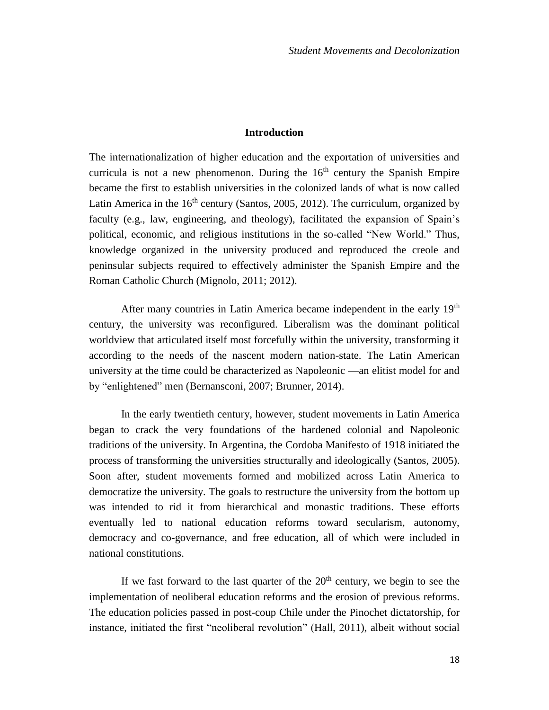# **Introduction**

The internationalization of higher education and the exportation of universities and curricula is not a new phenomenon. During the  $16<sup>th</sup>$  century the Spanish Empire became the first to establish universities in the colonized lands of what is now called Latin America in the  $16<sup>th</sup>$  century (Santos, 2005, 2012). The curriculum, organized by faculty (e.g., law, engineering, and theology), facilitated the expansion of Spain's political, economic, and religious institutions in the so-called "New World." Thus, knowledge organized in the university produced and reproduced the creole and peninsular subjects required to effectively administer the Spanish Empire and the Roman Catholic Church (Mignolo, 2011; 2012).

After many countries in Latin America became independent in the early 19<sup>th</sup> century, the university was reconfigured. Liberalism was the dominant political worldview that articulated itself most forcefully within the university, transforming it according to the needs of the nascent modern nation-state. The Latin American university at the time could be characterized as Napoleonic —an elitist model for and by "enlightened" men (Bernansconi, 2007; Brunner, 2014).

In the early twentieth century, however, student movements in Latin America began to crack the very foundations of the hardened colonial and Napoleonic traditions of the university. In Argentina, the Cordoba Manifesto of 1918 initiated the process of transforming the universities structurally and ideologically (Santos, 2005). Soon after, student movements formed and mobilized across Latin America to democratize the university. The goals to restructure the university from the bottom up was intended to rid it from hierarchical and monastic traditions. These efforts eventually led to national education reforms toward secularism, autonomy, democracy and co-governance, and free education, all of which were included in national constitutions.

If we fast forward to the last quarter of the  $20<sup>th</sup>$  century, we begin to see the implementation of neoliberal education reforms and the erosion of previous reforms. The education policies passed in post-coup Chile under the Pinochet dictatorship, for instance, initiated the first "neoliberal revolution" (Hall, 2011), albeit without social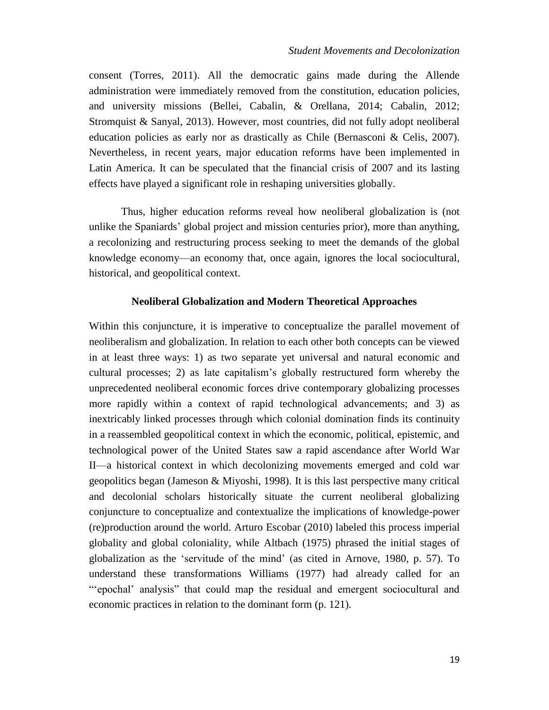consent (Torres, 2011). All the democratic gains made during the Allende administration were immediately removed from the constitution, education policies, and university missions (Bellei, Cabalin, & Orellana, 2014; Cabalin, 2012; Stromquist & Sanyal, 2013). However, most countries, did not fully adopt neoliberal education policies as early nor as drastically as Chile (Bernasconi & Celis, 2007). Nevertheless, in recent years, major education reforms have been implemented in Latin America. It can be speculated that the financial crisis of 2007 and its lasting effects have played a significant role in reshaping universities globally.

Thus, higher education reforms reveal how neoliberal globalization is (not unlike the Spaniards' global project and mission centuries prior), more than anything, a recolonizing and restructuring process seeking to meet the demands of the global knowledge economy—an economy that, once again, ignores the local sociocultural, historical, and geopolitical context.

## **Neoliberal Globalization and Modern Theoretical Approaches**

Within this conjuncture, it is imperative to conceptualize the parallel movement of neoliberalism and globalization. In relation to each other both concepts can be viewed in at least three ways: 1) as two separate yet universal and natural economic and cultural processes; 2) as late capitalism's globally restructured form whereby the unprecedented neoliberal economic forces drive contemporary globalizing processes more rapidly within a context of rapid technological advancements; and 3) as inextricably linked processes through which colonial domination finds its continuity in a reassembled geopolitical context in which the economic, political, epistemic, and technological power of the United States saw a rapid ascendance after World War II—a historical context in which decolonizing movements emerged and cold war geopolitics began (Jameson & Miyoshi, 1998). It is this last perspective many critical and decolonial scholars historically situate the current neoliberal globalizing conjuncture to conceptualize and contextualize the implications of knowledge-power (re)production around the world. Arturo Escobar (2010) labeled this process imperial globality and global coloniality, while Altbach (1975) phrased the initial stages of globalization as the 'servitude of the mind' (as cited in Arnove, 1980, p. 57). To understand these transformations Williams (1977) had already called for an "'epochal' analysis" that could map the residual and emergent sociocultural and economic practices in relation to the dominant form (p. 121).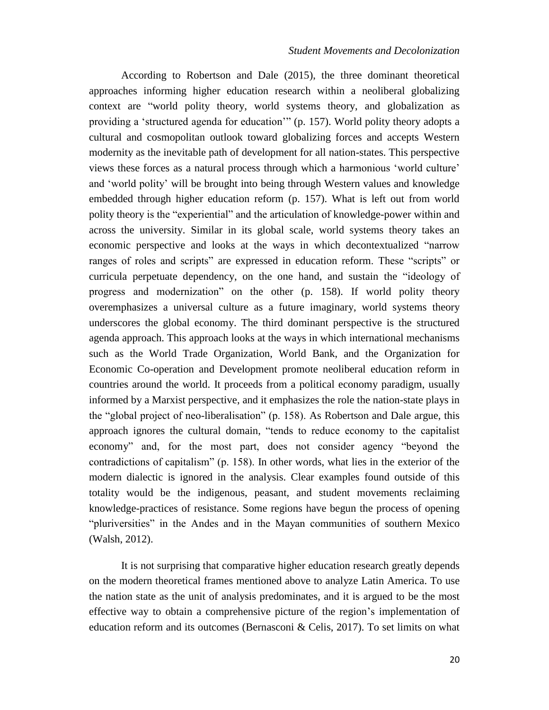According to Robertson and Dale (2015), the three dominant theoretical approaches informing higher education research within a neoliberal globalizing context are "world polity theory, world systems theory, and globalization as providing a 'structured agenda for education'" (p. 157). World polity theory adopts a cultural and cosmopolitan outlook toward globalizing forces and accepts Western modernity as the inevitable path of development for all nation-states. This perspective views these forces as a natural process through which a harmonious 'world culture' and 'world polity' will be brought into being through Western values and knowledge embedded through higher education reform (p. 157). What is left out from world polity theory is the "experiential" and the articulation of knowledge-power within and across the university. Similar in its global scale, world systems theory takes an economic perspective and looks at the ways in which decontextualized "narrow ranges of roles and scripts" are expressed in education reform. These "scripts" or curricula perpetuate dependency, on the one hand, and sustain the "ideology of progress and modernization" on the other (p. 158). If world polity theory overemphasizes a universal culture as a future imaginary, world systems theory underscores the global economy. The third dominant perspective is the structured agenda approach. This approach looks at the ways in which international mechanisms such as the World Trade Organization, World Bank, and the Organization for Economic Co-operation and Development promote neoliberal education reform in countries around the world. It proceeds from a political economy paradigm, usually informed by a Marxist perspective, and it emphasizes the role the nation-state plays in the "global project of neo-liberalisation" (p. 158). As Robertson and Dale argue, this approach ignores the cultural domain, "tends to reduce economy to the capitalist economy" and, for the most part, does not consider agency "beyond the contradictions of capitalism" (p. 158). In other words, what lies in the exterior of the modern dialectic is ignored in the analysis. Clear examples found outside of this totality would be the indigenous, peasant, and student movements reclaiming knowledge-practices of resistance. Some regions have begun the process of opening "pluriversities" in the Andes and in the Mayan communities of southern Mexico (Walsh, 2012).

It is not surprising that comparative higher education research greatly depends on the modern theoretical frames mentioned above to analyze Latin America. To use the nation state as the unit of analysis predominates, and it is argued to be the most effective way to obtain a comprehensive picture of the region's implementation of education reform and its outcomes (Bernasconi & Celis, 2017). To set limits on what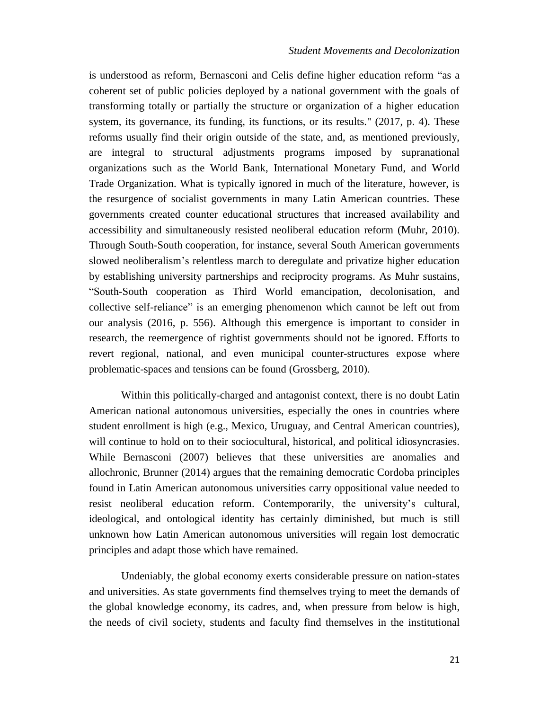is understood as reform, Bernasconi and Celis define higher education reform "as a coherent set of public policies deployed by a national government with the goals of transforming totally or partially the structure or organization of a higher education system, its governance, its funding, its functions, or its results." (2017, p. 4). These reforms usually find their origin outside of the state, and, as mentioned previously, are integral to structural adjustments programs imposed by supranational organizations such as the World Bank, International Monetary Fund, and World Trade Organization. What is typically ignored in much of the literature, however, is the resurgence of socialist governments in many Latin American countries. These governments created counter educational structures that increased availability and accessibility and simultaneously resisted neoliberal education reform (Muhr, 2010). Through South-South cooperation, for instance, several South American governments slowed neoliberalism's relentless march to deregulate and privatize higher education by establishing university partnerships and reciprocity programs. As Muhr sustains, "South-South cooperation as Third World emancipation, decolonisation, and collective self-reliance" is an emerging phenomenon which cannot be left out from our analysis (2016, p. 556). Although this emergence is important to consider in research, the reemergence of rightist governments should not be ignored. Efforts to revert regional, national, and even municipal counter-structures expose where problematic-spaces and tensions can be found (Grossberg, 2010).

Within this politically-charged and antagonist context, there is no doubt Latin American national autonomous universities, especially the ones in countries where student enrollment is high (e.g., Mexico, Uruguay, and Central American countries), will continue to hold on to their sociocultural, historical, and political idiosyncrasies. While Bernasconi (2007) believes that these universities are anomalies and allochronic, Brunner (2014) argues that the remaining democratic Cordoba principles found in Latin American autonomous universities carry oppositional value needed to resist neoliberal education reform. Contemporarily, the university's cultural, ideological, and ontological identity has certainly diminished, but much is still unknown how Latin American autonomous universities will regain lost democratic principles and adapt those which have remained.

Undeniably, the global economy exerts considerable pressure on nation-states and universities. As state governments find themselves trying to meet the demands of the global knowledge economy, its cadres, and, when pressure from below is high, the needs of civil society, students and faculty find themselves in the institutional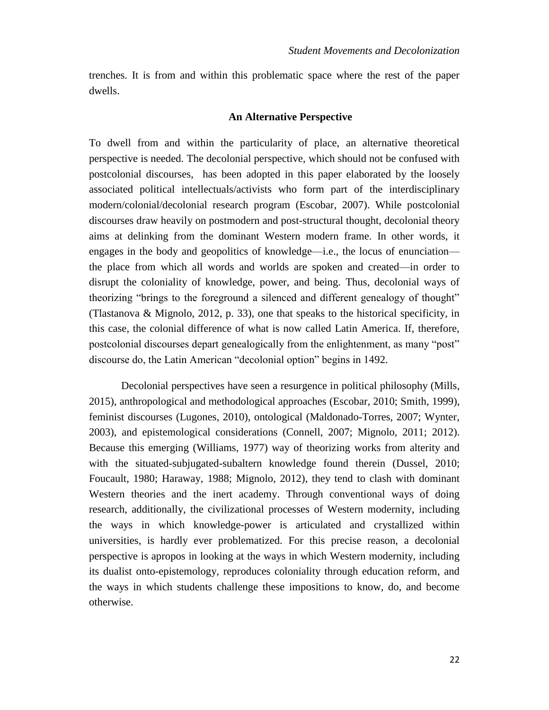trenches. It is from and within this problematic space where the rest of the paper dwells.

#### **An Alternative Perspective**

To dwell from and within the particularity of place, an alternative theoretical perspective is needed. The decolonial perspective, which should not be confused with postcolonial discourses, has been adopted in this paper elaborated by the loosely associated political intellectuals/activists who form part of the interdisciplinary modern/colonial/decolonial research program (Escobar, 2007). While postcolonial discourses draw heavily on postmodern and post-structural thought, decolonial theory aims at delinking from the dominant Western modern frame. In other words, it engages in the body and geopolitics of knowledge—i.e., the locus of enunciation the place from which all words and worlds are spoken and created—in order to disrupt the coloniality of knowledge, power, and being. Thus, decolonial ways of theorizing "brings to the foreground a silenced and different genealogy of thought" (Tlastanova & Mignolo, 2012, p. 33), one that speaks to the historical specificity, in this case, the colonial difference of what is now called Latin America. If, therefore, postcolonial discourses depart genealogically from the enlightenment, as many "post" discourse do, the Latin American "decolonial option" begins in 1492.

Decolonial perspectives have seen a resurgence in political philosophy (Mills, 2015), anthropological and methodological approaches (Escobar, 2010; Smith, 1999), feminist discourses (Lugones, 2010), ontological (Maldonado-Torres, 2007; Wynter, 2003), and epistemological considerations (Connell, 2007; Mignolo, 2011; 2012). Because this emerging (Williams, 1977) way of theorizing works from alterity and with the situated-subjugated-subaltern knowledge found therein (Dussel, 2010; Foucault, 1980; Haraway, 1988; Mignolo, 2012), they tend to clash with dominant Western theories and the inert academy. Through conventional ways of doing research, additionally, the civilizational processes of Western modernity, including the ways in which knowledge-power is articulated and crystallized within universities, is hardly ever problematized. For this precise reason, a decolonial perspective is apropos in looking at the ways in which Western modernity, including its dualist onto-epistemology, reproduces coloniality through education reform, and the ways in which students challenge these impositions to know, do, and become otherwise.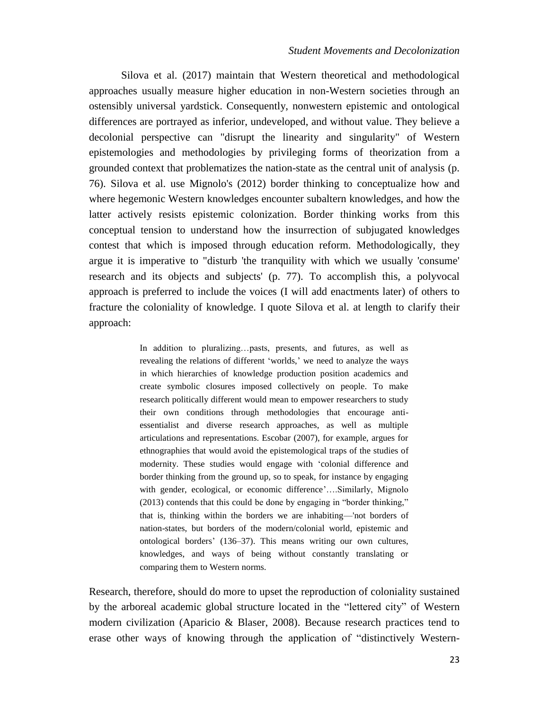Silova et al. (2017) maintain that Western theoretical and methodological approaches usually measure higher education in non-Western societies through an ostensibly universal yardstick. Consequently, nonwestern epistemic and ontological differences are portrayed as inferior, undeveloped, and without value. They believe a decolonial perspective can "disrupt the linearity and singularity" of Western epistemologies and methodologies by privileging forms of theorization from a grounded context that problematizes the nation-state as the central unit of analysis (p. 76). Silova et al. use Mignolo's (2012) border thinking to conceptualize how and where hegemonic Western knowledges encounter subaltern knowledges, and how the latter actively resists epistemic colonization. Border thinking works from this conceptual tension to understand how the insurrection of subjugated knowledges contest that which is imposed through education reform. Methodologically, they argue it is imperative to "disturb 'the tranquility with which we usually 'consume' research and its objects and subjects' (p. 77). To accomplish this, a polyvocal approach is preferred to include the voices (I will add enactments later) of others to fracture the coloniality of knowledge. I quote Silova et al. at length to clarify their approach:

> In addition to pluralizing...pasts, presents, and futures, as well as revealing the relations of different 'worlds,' we need to analyze the ways in which hierarchies of knowledge production position academics and create symbolic closures imposed collectively on people. To make research politically different would mean to empower researchers to study their own conditions through methodologies that encourage antiessentialist and diverse research approaches, as well as multiple articulations and representations. Escobar (2007), for example, argues for ethnographies that would avoid the epistemological traps of the studies of modernity. These studies would engage with 'colonial difference and border thinking from the ground up, so to speak, for instance by engaging with gender, ecological, or economic difference'….Similarly, Mignolo (2013) contends that this could be done by engaging in "border thinking," that is, thinking within the borders we are inhabiting—'not borders of nation-states, but borders of the modern/colonial world, epistemic and ontological borders' (136–37). This means writing our own cultures, knowledges, and ways of being without constantly translating or comparing them to Western norms.

Research, therefore, should do more to upset the reproduction of coloniality sustained by the arboreal academic global structure located in the "lettered city" of Western modern civilization (Aparicio & Blaser, 2008). Because research practices tend to erase other ways of knowing through the application of "distinctively Western-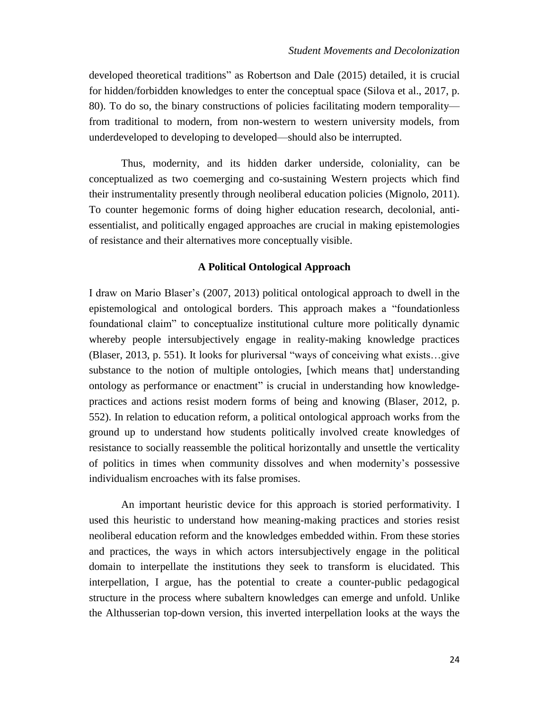developed theoretical traditions" as Robertson and Dale (2015) detailed, it is crucial for hidden/forbidden knowledges to enter the conceptual space (Silova et al., 2017, p. 80). To do so, the binary constructions of policies facilitating modern temporality from traditional to modern, from non-western to western university models, from underdeveloped to developing to developed—should also be interrupted.

Thus, modernity, and its hidden darker underside, coloniality, can be conceptualized as two coemerging and co-sustaining Western projects which find their instrumentality presently through neoliberal education policies (Mignolo, 2011). To counter hegemonic forms of doing higher education research, decolonial, antiessentialist, and politically engaged approaches are crucial in making epistemologies of resistance and their alternatives more conceptually visible.

## **A Political Ontological Approach**

I draw on Mario Blaser's (2007, 2013) political ontological approach to dwell in the epistemological and ontological borders. This approach makes a "foundationless foundational claim" to conceptualize institutional culture more politically dynamic whereby people intersubjectively engage in reality-making knowledge practices (Blaser, 2013, p. 551). It looks for pluriversal "ways of conceiving what exists…give substance to the notion of multiple ontologies, [which means that] understanding ontology as performance or enactment" is crucial in understanding how knowledgepractices and actions resist modern forms of being and knowing (Blaser, 2012, p. 552). In relation to education reform, a political ontological approach works from the ground up to understand how students politically involved create knowledges of resistance to socially reassemble the political horizontally and unsettle the verticality of politics in times when community dissolves and when modernity's possessive individualism encroaches with its false promises.

An important heuristic device for this approach is storied performativity. I used this heuristic to understand how meaning-making practices and stories resist neoliberal education reform and the knowledges embedded within. From these stories and practices, the ways in which actors intersubjectively engage in the political domain to interpellate the institutions they seek to transform is elucidated. This interpellation, I argue, has the potential to create a counter-public pedagogical structure in the process where subaltern knowledges can emerge and unfold. Unlike the Althusserian top-down version, this inverted interpellation looks at the ways the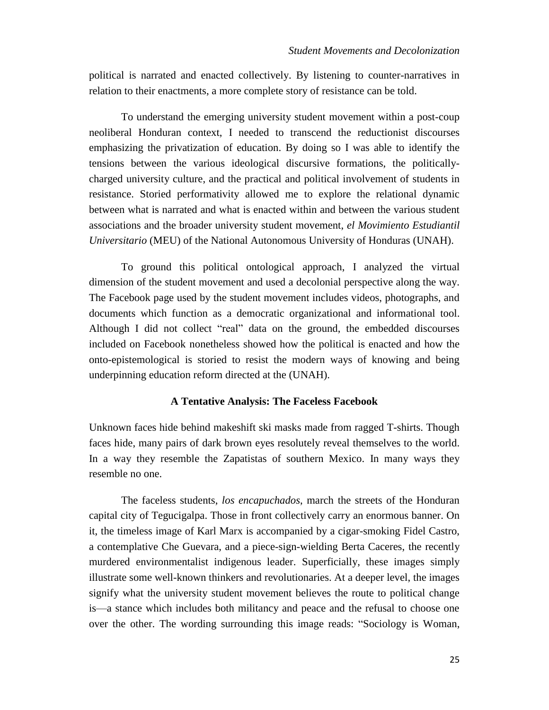political is narrated and enacted collectively. By listening to counter-narratives in relation to their enactments, a more complete story of resistance can be told.

To understand the emerging university student movement within a post-coup neoliberal Honduran context, I needed to transcend the reductionist discourses emphasizing the privatization of education. By doing so I was able to identify the tensions between the various ideological discursive formations, the politicallycharged university culture, and the practical and political involvement of students in resistance. Storied performativity allowed me to explore the relational dynamic between what is narrated and what is enacted within and between the various student associations and the broader university student movement, *el Movimiento Estudiantil Universitario* (MEU) of the National Autonomous University of Honduras (UNAH).

To ground this political ontological approach, I analyzed the virtual dimension of the student movement and used a decolonial perspective along the way. The Facebook page used by the student movement includes videos, photographs, and documents which function as a democratic organizational and informational tool. Although I did not collect "real" data on the ground, the embedded discourses included on Facebook nonetheless showed how the political is enacted and how the onto-epistemological is storied to resist the modern ways of knowing and being underpinning education reform directed at the (UNAH).

# **A Tentative Analysis: The Faceless Facebook**

Unknown faces hide behind makeshift ski masks made from ragged T-shirts. Though faces hide, many pairs of dark brown eyes resolutely reveal themselves to the world. In a way they resemble the Zapatistas of southern Mexico. In many ways they resemble no one.

The faceless students, *los encapuchados*, march the streets of the Honduran capital city of Tegucigalpa. Those in front collectively carry an enormous banner. On it, the timeless image of Karl Marx is accompanied by a cigar-smoking Fidel Castro, a contemplative Che Guevara, and a piece-sign-wielding Berta Caceres, the recently murdered environmentalist indigenous leader. Superficially, these images simply illustrate some well-known thinkers and revolutionaries. At a deeper level, the images signify what the university student movement believes the route to political change is—a stance which includes both militancy and peace and the refusal to choose one over the other. The wording surrounding this image reads: "Sociology is Woman,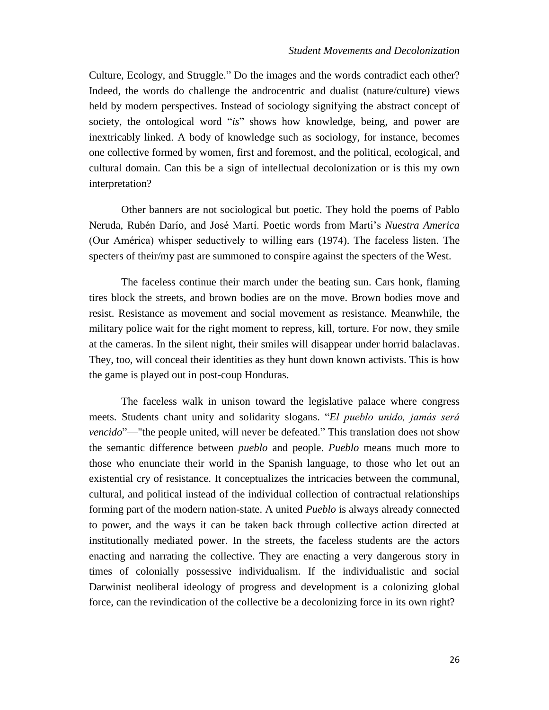Culture, Ecology, and Struggle." Do the images and the words contradict each other? Indeed, the words do challenge the androcentric and dualist (nature/culture) views held by modern perspectives. Instead of sociology signifying the abstract concept of society, the ontological word "*is*" shows how knowledge, being, and power are inextricably linked. A body of knowledge such as sociology, for instance, becomes one collective formed by women, first and foremost, and the political, ecological, and cultural domain. Can this be a sign of intellectual decolonization or is this my own interpretation?

Other banners are not sociological but poetic. They hold the poems of Pablo Neruda, Rubén Darío, and José Martí. Poetic words from Marti's *Nuestra America*  (Our América) whisper seductively to willing ears (1974). The faceless listen. The specters of their/my past are summoned to conspire against the specters of the West.

The faceless continue their march under the beating sun. Cars honk, flaming tires block the streets, and brown bodies are on the move. Brown bodies move and resist. Resistance as movement and social movement as resistance. Meanwhile, the military police wait for the right moment to repress, kill, torture. For now, they smile at the cameras. In the silent night, their smiles will disappear under horrid balaclavas. They, too, will conceal their identities as they hunt down known activists. This is how the game is played out in post-coup Honduras.

The faceless walk in unison toward the legislative palace where congress meets. Students chant unity and solidarity slogans. "*El pueblo unido, jamás será vencido*"—"the people united, will never be defeated." This translation does not show the semantic difference between *pueblo* and people. *Pueblo* means much more to those who enunciate their world in the Spanish language, to those who let out an existential cry of resistance. It conceptualizes the intricacies between the communal, cultural, and political instead of the individual collection of contractual relationships forming part of the modern nation-state. A united *Pueblo* is always already connected to power, and the ways it can be taken back through collective action directed at institutionally mediated power. In the streets, the faceless students are the actors enacting and narrating the collective. They are enacting a very dangerous story in times of colonially possessive individualism. If the individualistic and social Darwinist neoliberal ideology of progress and development is a colonizing global force, can the revindication of the collective be a decolonizing force in its own right?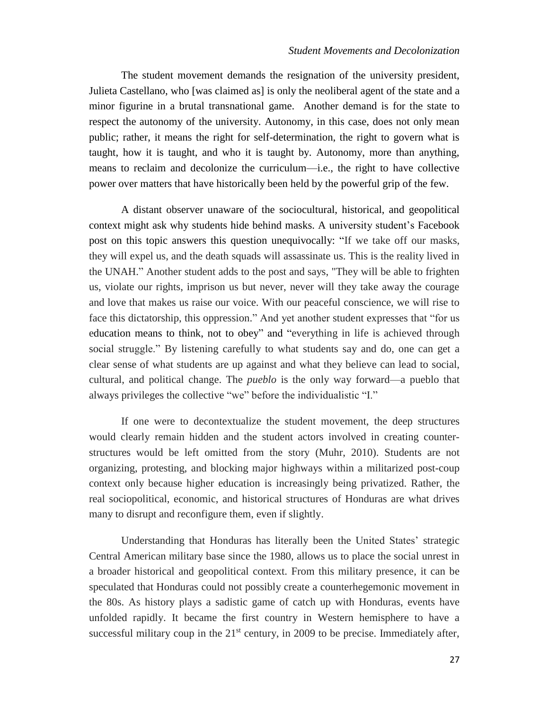The student movement demands the resignation of the university president, Julieta Castellano, who [was claimed as] is only the neoliberal agent of the state and a minor figurine in a brutal transnational game. Another demand is for the state to respect the autonomy of the university. Autonomy, in this case, does not only mean public; rather, it means the right for self-determination, the right to govern what is taught, how it is taught, and who it is taught by. Autonomy, more than anything, means to reclaim and decolonize the curriculum—i.e., the right to have collective power over matters that have historically been held by the powerful grip of the few.

A distant observer unaware of the sociocultural, historical, and geopolitical context might ask why students hide behind masks. A university student's Facebook post on this topic answers this question unequivocally: "If we take off our masks, they will expel us, and the death squads will assassinate us. This is the reality lived in the UNAH." Another student adds to the post and says, "They will be able to frighten us, violate our rights, imprison us but never, never will they take away the courage and love that makes us raise our voice. With our peaceful conscience, we will rise to face this dictatorship, this oppression." And yet another student expresses that "for us education means to think, not to obey" and "everything in life is achieved through social struggle." By listening carefully to what students say and do, one can get a clear sense of what students are up against and what they believe can lead to social, cultural, and political change. The *pueblo* is the only way forward—a pueblo that always privileges the collective "we" before the individualistic "I."

If one were to decontextualize the student movement, the deep structures would clearly remain hidden and the student actors involved in creating counterstructures would be left omitted from the story (Muhr, 2010). Students are not organizing, protesting, and blocking major highways within a militarized post-coup context only because higher education is increasingly being privatized. Rather, the real sociopolitical, economic, and historical structures of Honduras are what drives many to disrupt and reconfigure them, even if slightly.

Understanding that Honduras has literally been the United States' strategic Central American military base since the 1980, allows us to place the social unrest in a broader historical and geopolitical context. From this military presence, it can be speculated that Honduras could not possibly create a counterhegemonic movement in the 80s. As history plays a sadistic game of catch up with Honduras, events have unfolded rapidly. It became the first country in Western hemisphere to have a successful military coup in the  $21<sup>st</sup>$  century, in 2009 to be precise. Immediately after,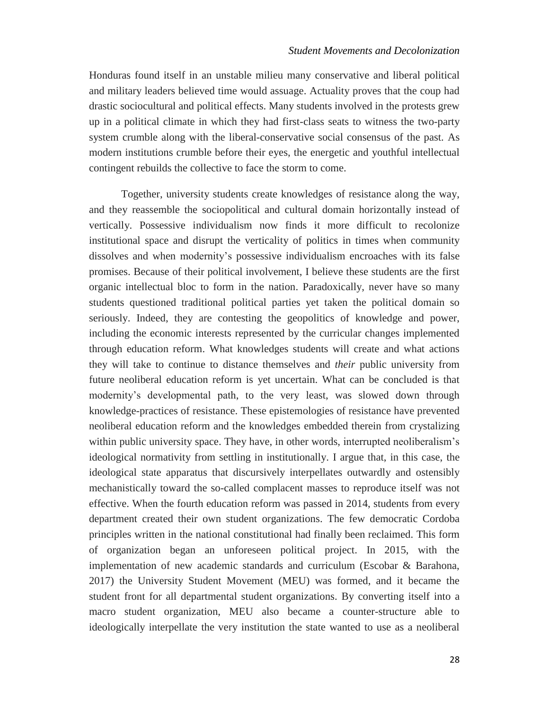Honduras found itself in an unstable milieu many conservative and liberal political and military leaders believed time would assuage. Actuality proves that the coup had drastic sociocultural and political effects. Many students involved in the protests grew up in a political climate in which they had first-class seats to witness the two-party system crumble along with the liberal-conservative social consensus of the past. As modern institutions crumble before their eyes, the energetic and youthful intellectual contingent rebuilds the collective to face the storm to come.

Together, university students create knowledges of resistance along the way, and they reassemble the sociopolitical and cultural domain horizontally instead of vertically. Possessive individualism now finds it more difficult to recolonize institutional space and disrupt the verticality of politics in times when community dissolves and when modernity's possessive individualism encroaches with its false promises. Because of their political involvement, I believe these students are the first organic intellectual bloc to form in the nation. Paradoxically, never have so many students questioned traditional political parties yet taken the political domain so seriously. Indeed, they are contesting the geopolitics of knowledge and power, including the economic interests represented by the curricular changes implemented through education reform. What knowledges students will create and what actions they will take to continue to distance themselves and *their* public university from future neoliberal education reform is yet uncertain. What can be concluded is that modernity's developmental path, to the very least, was slowed down through knowledge-practices of resistance. These epistemologies of resistance have prevented neoliberal education reform and the knowledges embedded therein from crystalizing within public university space. They have, in other words, interrupted neoliberalism's ideological normativity from settling in institutionally. I argue that, in this case, the ideological state apparatus that discursively interpellates outwardly and ostensibly mechanistically toward the so-called complacent masses to reproduce itself was not effective. When the fourth education reform was passed in 2014, students from every department created their own student organizations. The few democratic Cordoba principles written in the national constitutional had finally been reclaimed. This form of organization began an unforeseen political project. In 2015, with the implementation of new academic standards and curriculum (Escobar & Barahona, 2017) the University Student Movement (MEU) was formed, and it became the student front for all departmental student organizations. By converting itself into a macro student organization, MEU also became a counter-structure able to ideologically interpellate the very institution the state wanted to use as a neoliberal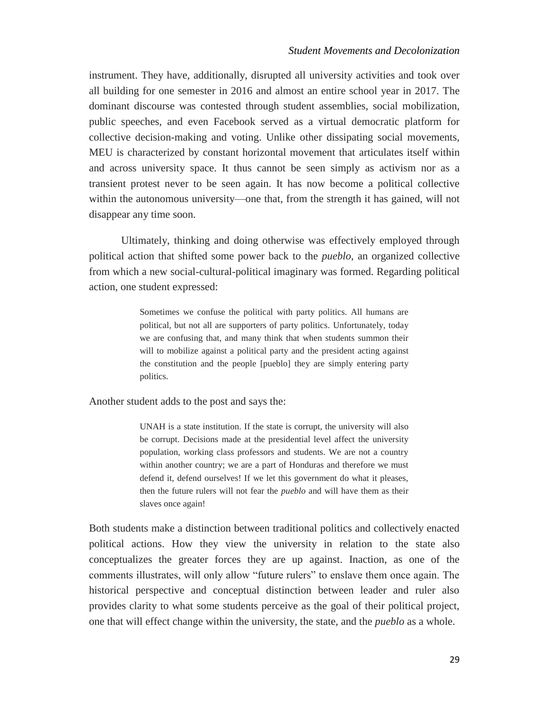instrument. They have, additionally, disrupted all university activities and took over all building for one semester in 2016 and almost an entire school year in 2017. The dominant discourse was contested through student assemblies, social mobilization, public speeches, and even Facebook served as a virtual democratic platform for collective decision-making and voting. Unlike other dissipating social movements, MEU is characterized by constant horizontal movement that articulates itself within and across university space. It thus cannot be seen simply as activism nor as a transient protest never to be seen again. It has now become a political collective within the autonomous university—one that, from the strength it has gained, will not disappear any time soon.

Ultimately, thinking and doing otherwise was effectively employed through political action that shifted some power back to the *pueblo*, an organized collective from which a new social-cultural-political imaginary was formed. Regarding political action, one student expressed:

> Sometimes we confuse the political with party politics. All humans are political, but not all are supporters of party politics. Unfortunately, today we are confusing that, and many think that when students summon their will to mobilize against a political party and the president acting against the constitution and the people [pueblo] they are simply entering party politics.

Another student adds to the post and says the:

UNAH is a state institution. If the state is corrupt, the university will also be corrupt. Decisions made at the presidential level affect the university population, working class professors and students. We are not a country within another country; we are a part of Honduras and therefore we must defend it, defend ourselves! If we let this government do what it pleases, then the future rulers will not fear the *pueblo* and will have them as their slaves once again!

Both students make a distinction between traditional politics and collectively enacted political actions. How they view the university in relation to the state also conceptualizes the greater forces they are up against. Inaction, as one of the comments illustrates, will only allow "future rulers" to enslave them once again. The historical perspective and conceptual distinction between leader and ruler also provides clarity to what some students perceive as the goal of their political project, one that will effect change within the university, the state, and the *pueblo* as a whole.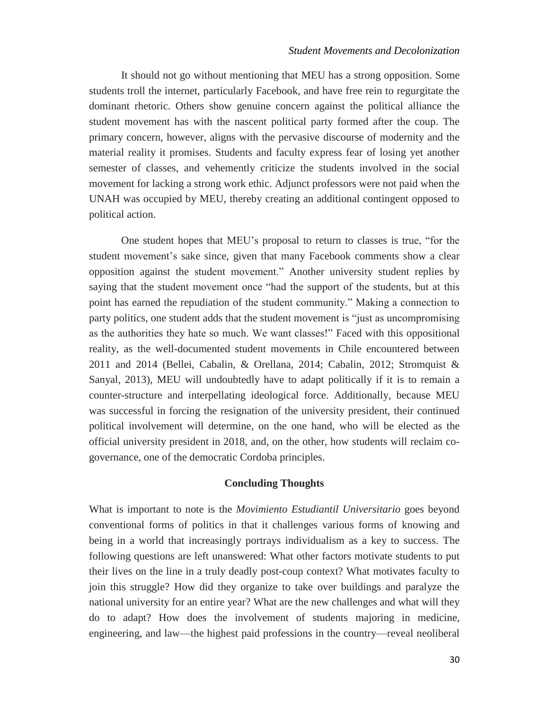It should not go without mentioning that MEU has a strong opposition. Some students troll the internet, particularly Facebook, and have free rein to regurgitate the dominant rhetoric. Others show genuine concern against the political alliance the student movement has with the nascent political party formed after the coup. The primary concern, however, aligns with the pervasive discourse of modernity and the material reality it promises. Students and faculty express fear of losing yet another semester of classes, and vehemently criticize the students involved in the social movement for lacking a strong work ethic. Adjunct professors were not paid when the UNAH was occupied by MEU, thereby creating an additional contingent opposed to political action.

One student hopes that MEU's proposal to return to classes is true, "for the student movement's sake since, given that many Facebook comments show a clear opposition against the student movement." Another university student replies by saying that the student movement once "had the support of the students, but at this point has earned the repudiation of the student community." Making a connection to party politics, one student adds that the student movement is "just as uncompromising as the authorities they hate so much. We want classes!" Faced with this oppositional reality, as the well-documented student movements in Chile encountered between 2011 and 2014 (Bellei, Cabalin, & Orellana, 2014; Cabalin, 2012; Stromquist & Sanyal, 2013), MEU will undoubtedly have to adapt politically if it is to remain a counter-structure and interpellating ideological force. Additionally, because MEU was successful in forcing the resignation of the university president, their continued political involvement will determine, on the one hand, who will be elected as the official university president in 2018, and, on the other, how students will reclaim cogovernance, one of the democratic Cordoba principles.

## **Concluding Thoughts**

What is important to note is the *Movimiento Estudiantil Universitario* goes beyond conventional forms of politics in that it challenges various forms of knowing and being in a world that increasingly portrays individualism as a key to success. The following questions are left unanswered: What other factors motivate students to put their lives on the line in a truly deadly post-coup context? What motivates faculty to join this struggle? How did they organize to take over buildings and paralyze the national university for an entire year? What are the new challenges and what will they do to adapt? How does the involvement of students majoring in medicine, engineering, and law—the highest paid professions in the country—reveal neoliberal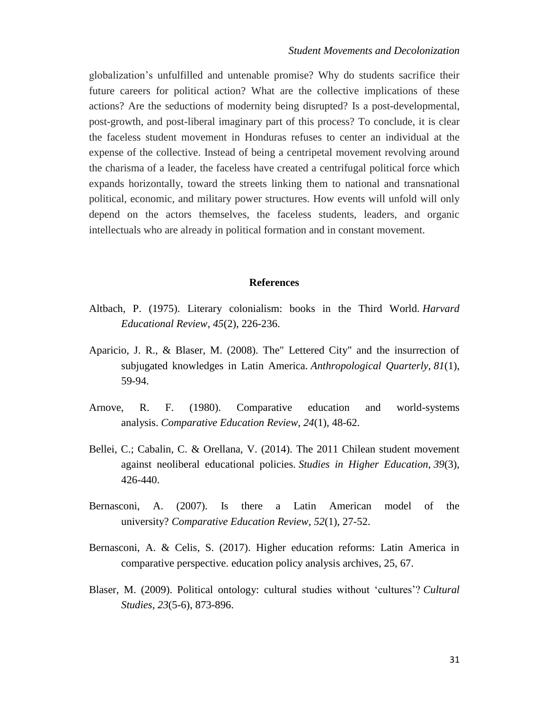globalization's unfulfilled and untenable promise? Why do students sacrifice their future careers for political action? What are the collective implications of these actions? Are the seductions of modernity being disrupted? Is a post-developmental, post-growth, and post-liberal imaginary part of this process? To conclude, it is clear the faceless student movement in Honduras refuses to center an individual at the expense of the collective. Instead of being a centripetal movement revolving around the charisma of a leader, the faceless have created a centrifugal political force which expands horizontally, toward the streets linking them to national and transnational political, economic, and military power structures. How events will unfold will only depend on the actors themselves, the faceless students, leaders, and organic intellectuals who are already in political formation and in constant movement.

#### **References**

- Altbach, P. (1975). Literary colonialism: books in the Third World. *Harvard Educational Review*, *45*(2), 226-236.
- Aparicio, J. R., & Blaser, M. (2008). The" Lettered City" and the insurrection of subjugated knowledges in Latin America. *Anthropological Quarterly*, *81*(1), 59-94.
- Arnove, R. F. (1980). Comparative education and world-systems analysis. *Comparative Education Review*, *24*(1), 48-62.
- Bellei, C.; Cabalin, C. & Orellana, V. (2014). The 2011 Chilean student movement against neoliberal educational policies. *Studies in Higher Education*, *39*(3), 426-440.
- Bernasconi, A. (2007). Is there a Latin American model of the university? *Comparative Education Review*, *52*(1), 27-52.
- Bernasconi, A. & Celis, S. (2017). Higher education reforms: Latin America in comparative perspective. education policy analysis archives, 25, 67.
- Blaser, M. (2009). Political ontology: cultural studies without 'cultures'? *Cultural Studies*, *23*(5-6), 873-896.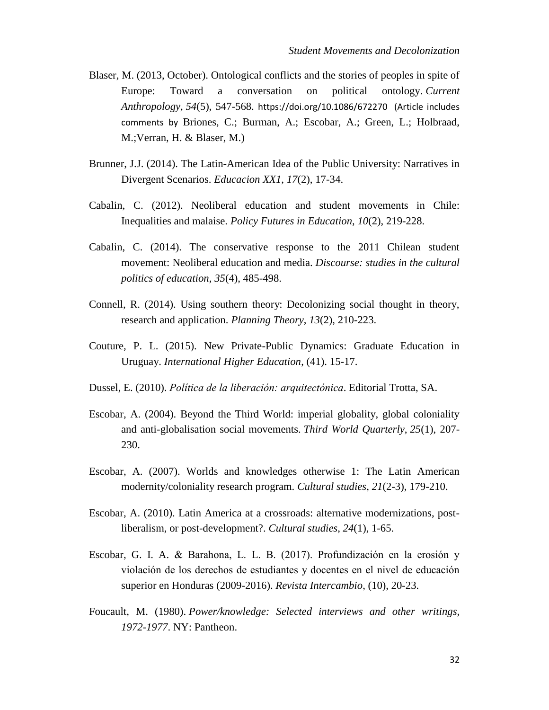- Blaser, M. (2013, October). Ontological conflicts and the stories of peoples in spite of Europe: Toward a conversation on political ontology. *Current Anthropology*, *54*(5), 547-568. <https://doi.org/10.1086/672270>(Article includes comments by Briones, C.; Burman, A.; Escobar, A.; Green, L.; Holbraad, M.;Verran, H. & Blaser, M.)
- Brunner, J.J. (2014). The Latin-American Idea of the Public University: Narratives in Divergent Scenarios. *Educacion XX1*, *17*(2), 17-34.
- Cabalin, C. (2012). Neoliberal education and student movements in Chile: Inequalities and malaise. *Policy Futures in Education*, *10*(2), 219-228.
- Cabalin, C. (2014). The conservative response to the 2011 Chilean student movement: Neoliberal education and media. *Discourse: studies in the cultural politics of education*, *35*(4), 485-498.
- Connell, R. (2014). Using southern theory: Decolonizing social thought in theory, research and application. *Planning Theory*, *13*(2), 210-223.
- Couture, P. L. (2015). New Private-Public Dynamics: Graduate Education in Uruguay. *International Higher Education*, (41). 15-17.
- Dussel, E. (2010). *Política de la liberación: arquitectónica*. Editorial Trotta, SA.
- Escobar, A. (2004). Beyond the Third World: imperial globality, global coloniality and anti-globalisation social movements. *Third World Quarterly*, *25*(1), 207- 230.
- Escobar, A. (2007). Worlds and knowledges otherwise 1: The Latin American modernity/coloniality research program. *Cultural studies*, *21*(2-3), 179-210.
- Escobar, A. (2010). Latin America at a crossroads: alternative modernizations, postliberalism, or post-development?. *Cultural studies*, *24*(1), 1-65.
- Escobar, G. I. A. & Barahona, L. L. B. (2017). Profundización en la erosión y violación de los derechos de estudiantes y docentes en el nivel de educación superior en Honduras (2009-2016). *Revista Intercambio*, (10), 20-23.
- Foucault, M. (1980). *Power/knowledge: Selected interviews and other writings, 1972-1977*. NY: Pantheon.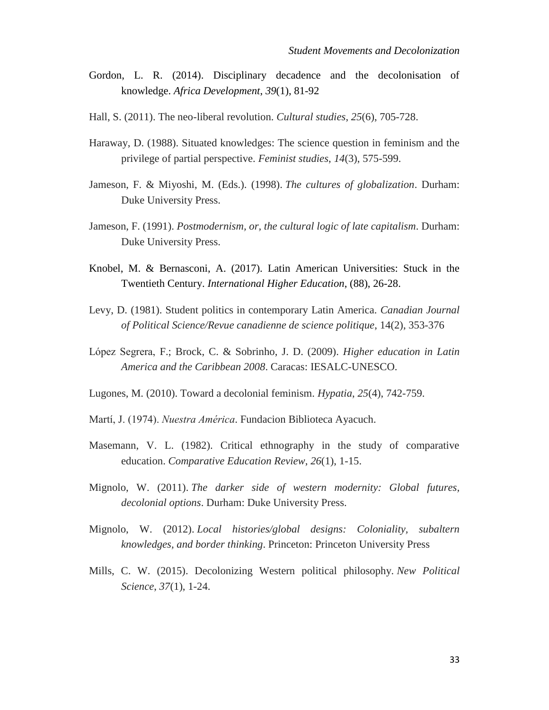- Gordon, L. R. (2014). Disciplinary decadence and the decolonisation of knowledge. *Africa Development*, *39*(1), 81-92
- Hall, S. (2011). The neo-liberal revolution. *Cultural studies*, *25*(6), 705-728.
- Haraway, D. (1988). Situated knowledges: The science question in feminism and the privilege of partial perspective. *Feminist studies*, *14*(3), 575-599.
- Jameson, F. & Miyoshi, M. (Eds.). (1998). *The cultures of globalization*. Durham: Duke University Press.
- Jameson, F. (1991). *Postmodernism, or, the cultural logic of late capitalism*. Durham: Duke University Press.
- Knobel, M. & Bernasconi, A. (2017). Latin American Universities: Stuck in the Twentieth Century. *International Higher Education*, (88), 26-28.
- Levy, D. (1981). Student politics in contemporary Latin America. *Canadian Journal of Political Science/Revue canadienne de science politique*, 14(2), 353-376
- López Segrera, F.; Brock, C. & Sobrinho, J. D. (2009). *Higher education in Latin America and the Caribbean 2008*. Caracas: IESALC-UNESCO.
- Lugones, M. (2010). Toward a decolonial feminism. *Hypatia*, *25*(4), 742-759.
- Martí, J. (1974). *Nuestra América*. Fundacion Biblioteca Ayacuch.
- Masemann, V. L. (1982). Critical ethnography in the study of comparative education. *Comparative Education Review*, *26*(1), 1-15.
- Mignolo, W. (2011). *The darker side of western modernity: Global futures, decolonial options*. Durham: Duke University Press.
- Mignolo, W. (2012). *Local histories/global designs: Coloniality, subaltern knowledges, and border thinking*. Princeton: Princeton University Press
- Mills, C. W. (2015). Decolonizing Western political philosophy. *New Political Science*, *37*(1), 1-24.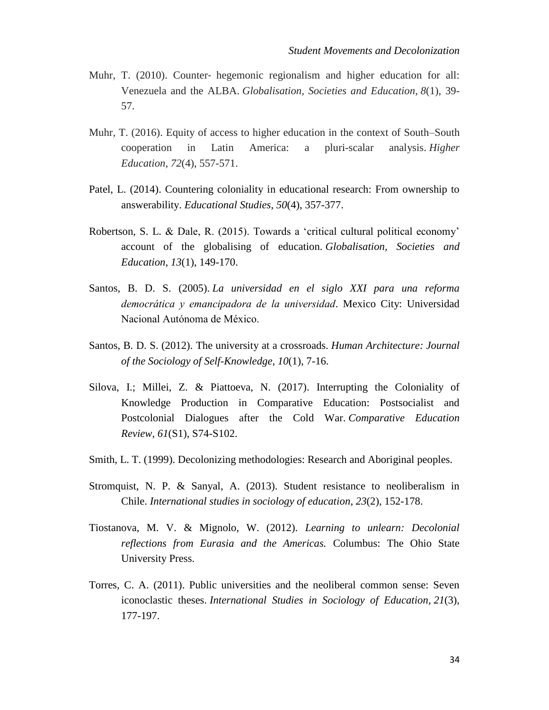- Muhr, T. (2010). Counter- hegemonic regionalism and higher education for all: Venezuela and the ALBA. *Globalisation, Societies and Education*, *8*(1), 39- 57.
- Muhr, T. (2016). Equity of access to higher education in the context of South–South cooperation in Latin America: a pluri-scalar analysis. *Higher Education*, *72*(4), 557-571.
- Patel, L. (2014). Countering coloniality in educational research: From ownership to answerability. *Educational Studies*, *50*(4), 357-377.
- Robertson, S. L. & Dale, R. (2015). Towards a 'critical cultural political economy' account of the globalising of education. *Globalisation, Societies and Education*, *13*(1), 149-170.
- Santos, B. D. S. (2005). *La universidad en el siglo XXI para una reforma democrática y emancipadora de la universidad*. Mexico City: Universidad Nacional Autónoma de México.
- Santos, B. D. S. (2012). The university at a crossroads. *Human Architecture: Journal of the Sociology of Self-Knowledge, 10*(1), 7-16.
- Silova, I.; Millei, Z. & Piattoeva, N. (2017). Interrupting the Coloniality of Knowledge Production in Comparative Education: Postsocialist and Postcolonial Dialogues after the Cold War. *Comparative Education Review*, *61*(S1), S74-S102.
- Smith, L. T. (1999). Decolonizing methodologies: Research and Aboriginal peoples.
- Stromquist, N. P. & Sanyal, A. (2013). Student resistance to neoliberalism in Chile. *International studies in sociology of education*, *23*(2), 152-178.
- Tiostanova, M. V. & Mignolo, W. (2012). *Learning to unlearn: Decolonial reflections from Eurasia and the Americas.* Columbus: The Ohio State University Press.
- Torres, C. A. (2011). Public universities and the neoliberal common sense: Seven iconoclastic theses. *International Studies in Sociology of Education*, *21*(3), 177-197.